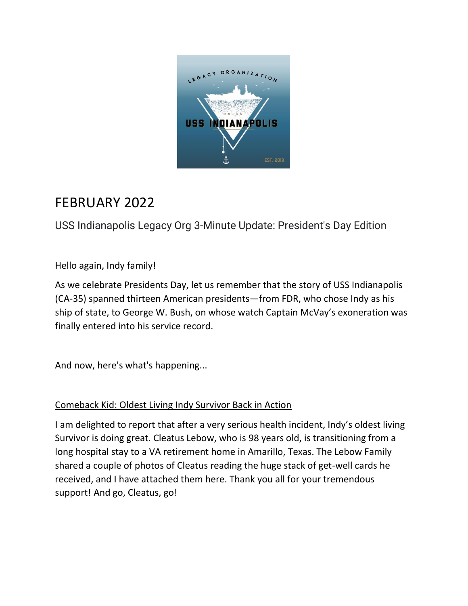

# FEBRUARY 2022

USS Indianapolis Legacy Org 3-Minute Update: President's Day Edition

# Hello again, Indy family!

As we celebrate Presidents Day, let us remember that the story of USS Indianapolis (CA-35) spanned thirteen American presidents—from FDR, who chose Indy as his ship of state, to George W. Bush, on whose watch Captain McVay's exoneration was finally entered into his service record.

And now, here's what's happening...

# Comeback Kid: Oldest Living Indy Survivor Back in Action

I am delighted to report that after a very serious health incident, Indy's oldest living Survivor is doing great. Cleatus Lebow, who is 98 years old, is transitioning from a long hospital stay to a VA retirement home in Amarillo, Texas. The Lebow Family shared a couple of photos of Cleatus reading the huge stack of get-well cards he received, and I have attached them here. Thank you all for your tremendous support! And go, Cleatus, go!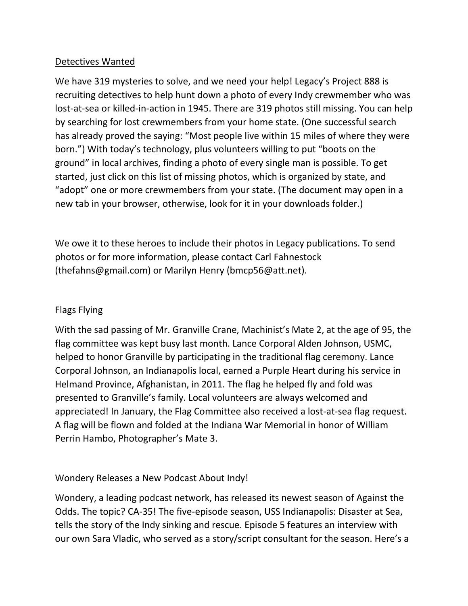#### Detectives Wanted

We have 319 mysteries to solve, and we need your help! Legacy's Project 888 is recruiting detectives to help hunt down a photo of every Indy crewmember who was lost-at-sea or killed-in-action in 1945. There are 319 photos still missing. You can help by searching for lost crewmembers from your home state. (One successful search has already proved the saying: "Most people live within 15 miles of where they were born.") With today's technology, plus volunteers willing to put "boots on the ground" in local archives, finding a photo of every single man is possible. To get started, just click on this list of missing photos, which is organized by state, and "adopt" one or more crewmembers from your state. (The document may open in a new tab in your browser, otherwise, look for it in your downloads folder.)

We owe it to these heroes to include their photos in Legacy publications. To send photos or for more information, please contact Carl Fahnestock (thefahns@gmail.com) or Marilyn Henry (bmcp56@att.net).

#### Flags Flying

With the sad passing of Mr. Granville Crane, Machinist's Mate 2, at the age of 95, the flag committee was kept busy last month. Lance Corporal Alden Johnson, USMC, helped to honor Granville by participating in the traditional flag ceremony. Lance Corporal Johnson, an Indianapolis local, earned a Purple Heart during his service in Helmand Province, Afghanistan, in 2011. The flag he helped fly and fold was presented to Granville's family. Local volunteers are always welcomed and appreciated! In January, the Flag Committee also received a lost-at-sea flag request. A flag will be flown and folded at the Indiana War Memorial in honor of William Perrin Hambo, Photographer's Mate 3.

#### Wondery Releases a New Podcast About Indy!

Wondery, a leading podcast network, has released its newest season of Against the Odds. The topic? CA-35! The five-episode season, USS Indianapolis: Disaster at Sea, tells the story of the Indy sinking and rescue. Episode 5 features an interview with our own Sara Vladic, who served as a story/script consultant for the season. Here's a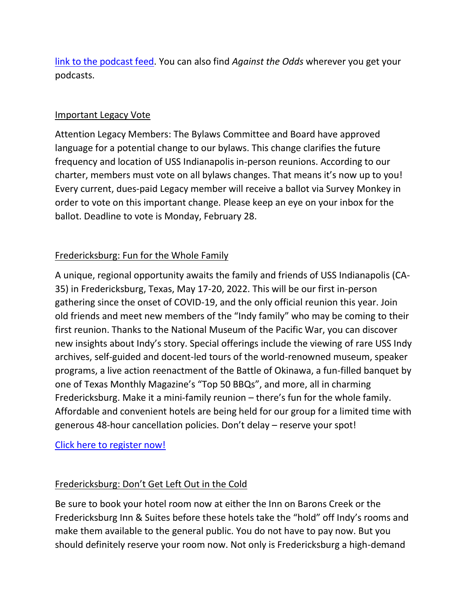[link to the podcast feed.](https://wondery.com/shows/against-the-odds/episode/8514-uss-indianapolis-disaster-at-sea-abandon-ship/) You can also find *Against the Odds* wherever you get your podcasts.

#### Important Legacy Vote

Attention Legacy Members: The Bylaws Committee and Board have approved language for a potential change to our bylaws. This change clarifies the future frequency and location of USS Indianapolis in-person reunions. According to our charter, members must vote on all bylaws changes. That means it's now up to you! Every current, dues-paid Legacy member will receive a ballot via Survey Monkey in order to vote on this important change. Please keep an eye on your inbox for the ballot. Deadline to vote is Monday, February 28.

# Fredericksburg: Fun for the Whole Family

A unique, regional opportunity awaits the family and friends of USS Indianapolis (CA-35) in Fredericksburg, Texas, May 17-20, 2022. This will be our first in-person gathering since the onset of COVID-19, and the only official reunion this year. Join old friends and meet new members of the "Indy family" who may be coming to their first reunion. Thanks to the National Museum of the Pacific War, you can discover new insights about Indy's story. Special offerings include the viewing of rare USS Indy archives, self-guided and docent-led tours of the world-renowned museum, speaker programs, a live action reenactment of the Battle of Okinawa, a fun-filled banquet by one of Texas Monthly Magazine's "Top 50 BBQs", and more, all in charming Fredericksburg. Make it a mini-family reunion – there's fun for the whole family. Affordable and convenient hotels are being held for our group for a limited time with generous 48-hour cancellation policies. Don't delay – reserve your spot!

#### [Click here to register now!](https://www.ussindianapolis.com/event-details/uss-indianapolis-ca-35-2022-reunion)

#### Fredericksburg: Don't Get Left Out in the Cold

Be sure to book your hotel room now at either the Inn on Barons Creek or the Fredericksburg Inn & Suites before these hotels take the "hold" off Indy's rooms and make them available to the general public. You do not have to pay now. But you should definitely reserve your room now. Not only is Fredericksburg a high-demand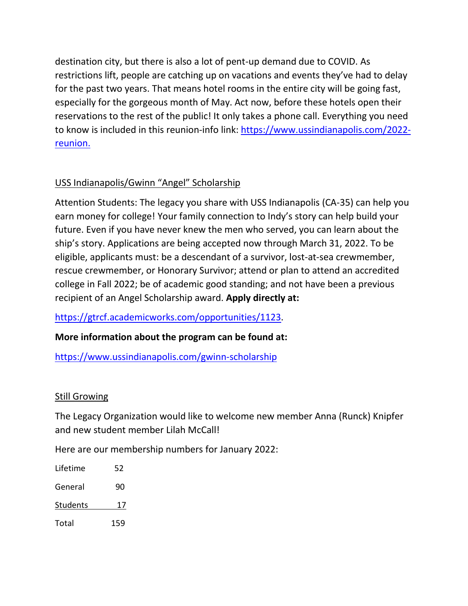destination city, but there is also a lot of pent-up demand due to COVID. As restrictions lift, people are catching up on vacations and events they've had to delay for the past two years. That means hotel rooms in the entire city will be going fast, especially for the gorgeous month of May. Act now, before these hotels open their reservations to the rest of the public! It only takes a phone call. Everything you need to know is included in this reunion-info link: [https://www.ussindianapolis.com/2022](https://www.ussindianapolis.com/2022-reunion.) [reunion.](https://www.ussindianapolis.com/2022-reunion.)

# USS Indianapolis/Gwinn "Angel" Scholarship

Attention Students: The legacy you share with USS Indianapolis (CA-35) can help you earn money for college! Your family connection to Indy's story can help build your future. Even if you have never knew the men who served, you can learn about the ship's story. Applications are being accepted now through March 31, 2022. To be eligible, applicants must: be a descendant of a survivor, lost-at-sea crewmember, rescue crewmember, or Honorary Survivor; attend or plan to attend an accredited college in Fall 2022; be of academic good standing; and not have been a previous recipient of an Angel Scholarship award. **Apply directly at:** 

[https://gtrcf.academicworks.com/opportunities/1123.](https://gtrcf.academicworks.com/opportunities/1123)

# **More information about the program can be found at:**

<https://www.ussindianapolis.com/gwinn-scholarship>

# Still Growing

The Legacy Organization would like to welcome new member Anna (Runck) Knipfer and new student member Lilah McCall!

Here are our membership numbers for January 2022:

| Lifetime | 52  |
|----------|-----|
| General  | 90  |
| Students | 17  |
| Total    | 159 |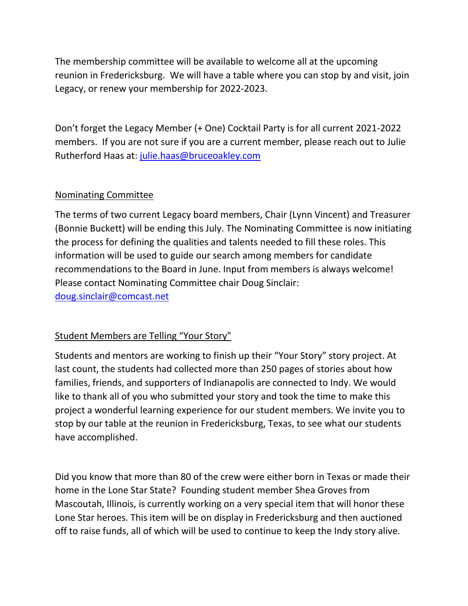The membership committee will be available to welcome all at the upcoming reunion in Fredericksburg. We will have a table where you can stop by and visit, join Legacy, or renew your membership for 2022-2023.

Don't forget the Legacy Member (+ One) Cocktail Party is for all current 2021-2022 members. If you are not sure if you are a current member, please reach out to Julie Rutherford Haas at: [julie.haas@bruceoakley.com](mailto:julie.haas@bruceoakley.com)

#### Nominating Committee

The terms of two current Legacy board members, Chair (Lynn Vincent) and Treasurer (Bonnie Buckett) will be ending this July. The Nominating Committee is now initiating the process for defining the qualities and talents needed to fill these roles. This information will be used to guide our search among members for candidate recommendations to the Board in June. Input from members is always welcome! Please contact Nominating Committee chair Doug Sinclair: [doug.sinclair@comcast.net](mailto:doug.sinclair@comcast.net)

#### Student Members are Telling "Your Story"

Students and mentors are working to finish up their "Your Story" story project. At last count, the students had collected more than 250 pages of stories about how families, friends, and supporters of Indianapolis are connected to Indy. We would like to thank all of you who submitted your story and took the time to make this project a wonderful learning experience for our student members. We invite you to stop by our table at the reunion in Fredericksburg, Texas, to see what our students have accomplished.

Did you know that more than 80 of the crew were either born in Texas or made their home in the Lone Star State? Founding student member Shea Groves from Mascoutah, Illinois, is currently working on a very special item that will honor these Lone Star heroes. This item will be on display in Fredericksburg and then auctioned off to raise funds, all of which will be used to continue to keep the Indy story alive.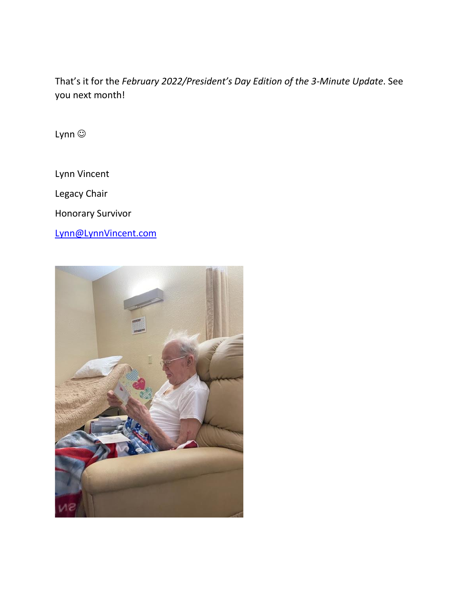That's it for the *February 2022/President's Day Edition of the 3-Minute Update*. See you next month!

Lynn ☺

Lynn Vincent

Legacy Chair

Honorary Survivor

[Lynn@LynnVincent.com](mailto:Lynn@LynnVincent.com)

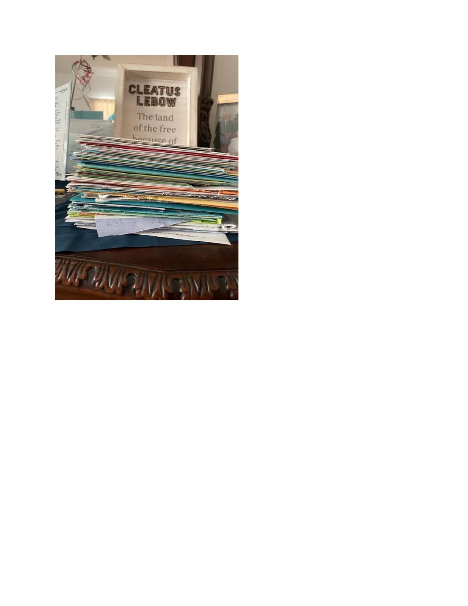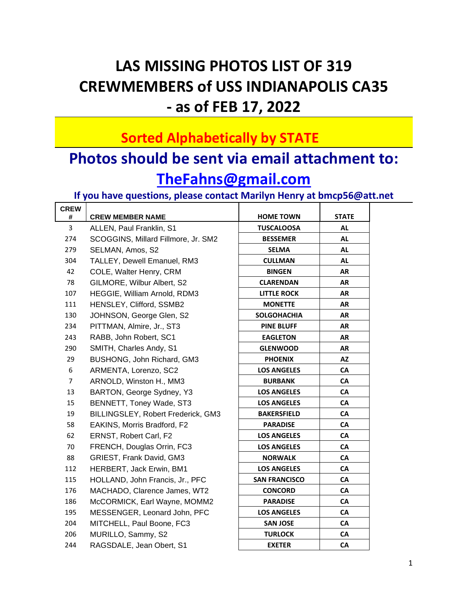# **LAS MISSING PHOTOS LIST OF 319 CREWMEMBERS of USS INDIANAPOLIS CA35 - as of FEB 17, 2022**

# **Sorted Alphabetically by STATE**

# **Photos should be sent via email attachment to: [TheFahns@gmail.com](mailto:TheFahns@gmail.com)**

**If you have questions, please contact Marilyn Henry at bmcp56@att.net**

| <b>CREW</b>    |                                     |                      |              |
|----------------|-------------------------------------|----------------------|--------------|
| #              | <b>CREW MEMBER NAME</b>             | <b>HOME TOWN</b>     | <b>STATE</b> |
| 3              | ALLEN, Paul Franklin, S1            | <b>TUSCALOOSA</b>    | <b>AL</b>    |
| 274            | SCOGGINS, Millard Fillmore, Jr. SM2 | <b>BESSEMER</b>      | <b>AL</b>    |
| 279            | SELMAN, Amos, S2                    | <b>SELMA</b>         | AL           |
| 304            | TALLEY, Dewell Emanuel, RM3         | <b>CULLMAN</b>       | <b>AL</b>    |
| 42             | COLE, Walter Henry, CRM             | <b>BINGEN</b>        | AR           |
| 78             | GILMORE, Wilbur Albert, S2          | <b>CLARENDAN</b>     | AR           |
| 107            | HEGGIE, William Arnold, RDM3        | <b>LITTLE ROCK</b>   | <b>AR</b>    |
| 111            | HENSLEY, Clifford, SSMB2            | <b>MONETTE</b>       | AR           |
| 130            | JOHNSON, George Glen, S2            | <b>SOLGOHACHIA</b>   | <b>AR</b>    |
| 234            | PITTMAN, Almire, Jr., ST3           | <b>PINE BLUFF</b>    | AR           |
| 243            | RABB, John Robert, SC1              | <b>EAGLETON</b>      | <b>AR</b>    |
| 290            | SMITH, Charles Andy, S1             | <b>GLENWOOD</b>      | <b>AR</b>    |
| 29             | BUSHONG, John Richard, GM3          | <b>PHOENIX</b>       | <b>AZ</b>    |
| 6              | ARMENTA, Lorenzo, SC2               | <b>LOS ANGELES</b>   | CA           |
| $\overline{7}$ | ARNOLD, Winston H., MM3             | <b>BURBANK</b>       | CA           |
| 13             | BARTON, George Sydney, Y3           | <b>LOS ANGELES</b>   | CA           |
| 15             | BENNETT, Toney Wade, ST3            | <b>LOS ANGELES</b>   | CA           |
| 19             | BILLINGSLEY, Robert Frederick, GM3  | <b>BAKERSFIELD</b>   | <b>CA</b>    |
| 58             | EAKINS, Morris Bradford, F2         | <b>PARADISE</b>      | CA           |
| 62             | ERNST, Robert Carl, F2              | <b>LOS ANGELES</b>   | CA           |
| 70             | FRENCH, Douglas Orrin, FC3          | <b>LOS ANGELES</b>   | CA           |
| 88             | GRIEST, Frank David, GM3            | <b>NORWALK</b>       | CA           |
| 112            | HERBERT, Jack Erwin, BM1            | <b>LOS ANGELES</b>   | <b>CA</b>    |
| 115            | HOLLAND, John Francis, Jr., PFC     | <b>SAN FRANCISCO</b> | CA           |
| 176            | MACHADO, Clarence James, WT2        | <b>CONCORD</b>       | <b>CA</b>    |
| 186            | McCORMICK, Earl Wayne, MOMM2        | <b>PARADISE</b>      | СA           |
| 195            | MESSENGER, Leonard John, PFC        | <b>LOS ANGELES</b>   | СA           |
| 204            | MITCHELL, Paul Boone, FC3           | <b>SAN JOSE</b>      | CA           |
| 206            | MURILLO, Sammy, S2                  | <b>TURLOCK</b>       | CA           |
| 244            | RAGSDALE, Jean Obert, S1            | <b>EXETER</b>        | CA           |
|                |                                     |                      |              |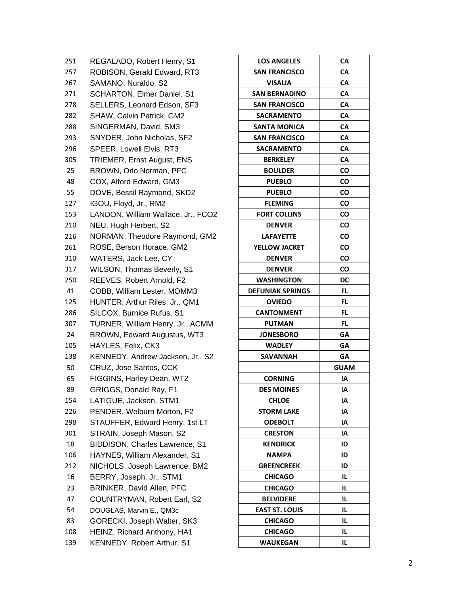| 251 | REGALADO, Robert Henry, S1         | <b>LOS ANGELES</b>      | CA          |
|-----|------------------------------------|-------------------------|-------------|
| 257 | ROBISON, Gerald Edward, RT3        | <b>SAN FRANCISCO</b>    | CA          |
| 267 | SAMANO, Nuraldo, S2                | <b>VISALIA</b>          | CA          |
| 271 | <b>SCHARTON, Elmer Daniel, S1</b>  | <b>SAN BERNADINO</b>    | CA          |
| 278 | SELLERS, Leonard Edson, SF3        | <b>SAN FRANCISCO</b>    | СA          |
| 282 | SHAW, Calvin Patrick, GM2          | <b>SACRAMENTO</b>       | CA          |
| 288 | SINGERMAN, David, SM3              | <b>SANTA MONICA</b>     | CA          |
| 293 | SNYDER, John Nicholas, SF2         | <b>SAN FRANCISCO</b>    | CA          |
| 296 | SPEER, Lowell Elvis, RT3           | <b>SACRAMENTO</b>       | CA          |
| 305 | TRIEMER, Ernst August, ENS         | <b>BERKELEY</b>         | CA          |
| 25  | BROWN, Orlo Norman, PFC            | <b>BOULDER</b>          | <b>CO</b>   |
| 48  | COX, Alford Edward, GM3            | <b>PUEBLO</b>           | CO          |
| 55  | DOVE, Bessil Raymond, SKD2         | <b>PUEBLO</b>           | <b>CO</b>   |
| 127 | IGOU, Floyd, Jr., RM2              | <b>FLEMING</b>          | <b>CO</b>   |
| 153 | LANDON, William Wallace, Jr., FCO2 | <b>FORT COLLINS</b>     | <b>CO</b>   |
| 210 | NEU, Hugh Herbert, S2              | <b>DENVER</b>           | CO          |
| 216 | NORMAN, Theodore Raymond, GM2      | <b>LAFAYETTE</b>        | CO          |
| 261 | ROSE, Berson Horace, GM2           | YELLOW JACKET           | CO          |
| 310 | WATERS, Jack Lee, CY               | <b>DENVER</b>           | <b>CO</b>   |
| 317 | WILSON, Thomas Beverly, S1         | <b>DENVER</b>           | <b>CO</b>   |
| 250 | REEVES, Robert Arnold, F2          | <b>WASHINGTON</b>       | DC          |
| 41  | COBB, William Lester, MOMM3        | <b>DEFUNIAK SPRINGS</b> | FL.         |
| 125 | HUNTER, Arthur Riles, Jr., QM1     | <b>OVIEDO</b>           | FL          |
| 286 | SILCOX, Burnice Rufus, S1          | <b>CANTONMENT</b>       | FL          |
| 307 | TURNER, William Henry, Jr., ACMM   | <b>PUTMAN</b>           | FL.         |
| 24  | BROWN, Edward Augustus, WT3        | <b>JONESBORO</b>        | GА          |
| 105 | HAYLES, Felix, CK3                 | WADLEY                  | GA          |
| 138 | KENNEDY, Andrew Jackson, Jr., S2   | SAVANNAH                | GA          |
| 50  | CRUZ, Jose Santos, CCK             |                         | <b>GUAM</b> |
| 65  | FIGGINS, Harley Dean, WT2          | <b>CORNING</b>          | IA          |
| 89  | GRIGGS, Donald Ray, F1             | <b>DES MOINES</b>       | IA          |
| 154 | LATIGUE, Jackson, STM1             | <b>CHLOE</b>            | IA          |
| 226 | PENDER, Welburn Morton, F2         | <b>STORM LAKE</b>       | ΙA          |
| 298 | STAUFFER, Edward Henry, 1st LT     | <b>ODEBOLT</b>          | IA          |
| 301 | STRAIN, Joseph Mason, S2           | <b>CRESTON</b>          | IA          |
| 18  | BIDDISON, Charles Lawrence, S1     | <b>KENDRICK</b>         | ID          |
| 106 | HAYNES, William Alexander, S1      | <b>NAMPA</b>            | ID          |
| 212 | NICHOLS, Joseph Lawrence, BM2      | <b>GREENCREEK</b>       | ID          |
| 16  | BERRY, Joseph, Jr., STM1           | <b>CHICAGO</b>          | IL          |
| 23  | BRINKER, David Allen, PFC          | <b>CHICAGO</b>          | IL          |
| 47  | COUNTRYMAN, Robert Earl, S2        | <b>BELVIDERE</b>        | 11.         |
| 54  | DOUGLAS, Marvin E., QM3c           | <b>EAST ST. LOUIS</b>   | Ш           |
| 83  | GORECKI, Joseph Walter, SK3        | <b>CHICAGO</b>          | IL          |
| 108 | HEINZ, Richard Anthony, HA1        | <b>CHICAGO</b>          | IL          |
| 139 | KENNEDY, Robert Arthur, S1         | <b>WAUKEGAN</b>         | IL          |

| <b>LOS ANGELES</b>      | СA          |
|-------------------------|-------------|
| <b>SAN FRANCISCO</b>    | CА          |
| <b>VISALIA</b>          | СA          |
| <b>SAN BERNADINO</b>    | СA          |
| <b>SAN FRANCISCO</b>    | СA          |
| <b>SACRAMENTO</b>       | СA          |
| SANTA MONICA            | СA          |
| <b>SAN FRANCISCO</b>    | CА          |
| <b>SACRAMENTO</b>       | СA          |
| <b>BERKELEY</b>         | СA          |
| <b>BOULDER</b>          | CO          |
| <b>PUEBLO</b>           | CO          |
| <b>PUEBLO</b>           | CO          |
| <b>FLEMING</b>          | CO          |
| <b>FORT COLLINS</b>     | CO          |
| <b>DENVER</b>           | CO          |
| LAFAYETTE               | CO          |
| <b>YELLOW JACKET</b>    | CO          |
| <b>DENVER</b>           | CO          |
| <b>DENVER</b>           | CO          |
| <b>WASHINGTON</b>       | DC          |
| <b>DEFUNIAK SPRINGS</b> | FL          |
| <b>OVIEDO</b>           | FL          |
| <b>CANTONMENT</b>       | FL          |
| <b>PUTMAN</b>           | FL          |
| <b>JONESBORO</b>        | GΑ          |
| WADLEY                  | GΑ          |
| SAVANNAH                | GΑ          |
|                         | <b>GUAM</b> |
| <b>CORNING</b>          | ΙA          |
| <b>DES MOINES</b>       | IΑ          |
| <b>CHLOE</b>            | IA          |
| <b>STORM LAKE</b>       | ΙA          |
| ODEBOLT                 | ΙA          |
| <b>CRESTON</b>          | ΙA          |
| <b>KENDRICK</b>         | ID          |
| NAMPA                   | ID          |
| <b>GREENCREEK</b>       | ID          |
| <b>CHICAGO</b>          | IL          |
| <b>CHICAGO</b>          | IL          |
| <b>BELVIDERE</b>        | IL          |
| <b>EAST ST. LOUIS</b>   | IL          |
| <b>CHICAGO</b>          | IL          |
| <b>CHICAGO</b>          | IL          |
| WAUKEGAN                | IL          |
|                         |             |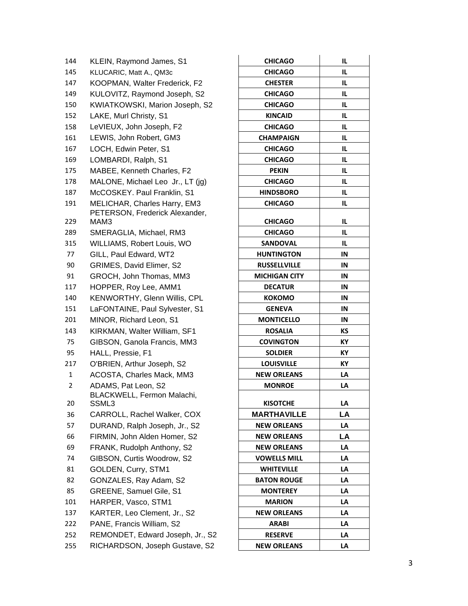| 144 | KLEIN, Raymond James, S1            | <b>CHICAGO</b>       | IL.        |
|-----|-------------------------------------|----------------------|------------|
| 145 | KLUCARIC, Matt A., QM3c             | <b>CHICAGO</b>       | IL.        |
| 147 | KOOPMAN, Walter Frederick, F2       | <b>CHESTER</b>       | IL.        |
| 149 | KULOVITZ, Raymond Joseph, S2        | <b>CHICAGO</b>       | IL.        |
| 150 | KWIATKOWSKI, Marion Joseph, S2      | <b>CHICAGO</b>       | Ш.         |
| 152 | LAKE, Murl Christy, S1              | <b>KINCAID</b>       | Ш.         |
| 158 | LeVIEUX, John Joseph, F2            | <b>CHICAGO</b>       | IL.        |
| 161 | LEWIS, John Robert, GM3             | <b>CHAMPAIGN</b>     | IL.        |
| 167 | LOCH, Edwin Peter, S1               | <b>CHICAGO</b>       | IL.        |
| 169 | LOMBARDI, Ralph, S1                 | <b>CHICAGO</b>       | IL.        |
| 175 | MABEE, Kenneth Charles, F2          | <b>PEKIN</b>         | IL.        |
| 178 | MALONE, Michael Leo Jr., LT (jg)    | <b>CHICAGO</b>       | IL.        |
| 187 | McCOSKEY. Paul Franklin, S1         | <b>HINDSBORO</b>     | Ш.         |
| 191 | MELICHAR, Charles Harry, EM3        | <b>CHICAGO</b>       | Ш.         |
|     | PETERSON, Frederick Alexander,      |                      |            |
| 229 | MAM3                                | <b>CHICAGO</b>       | IL.        |
| 289 | SMERAGLIA, Michael, RM3             | <b>CHICAGO</b>       | IL.        |
| 315 | <b>WILLIAMS, Robert Louis, WO</b>   | SANDOVAL             | Ш.         |
| 77  | GILL, Paul Edward, WT2              | <b>HUNTINGTON</b>    | IN         |
| 90  | GRIMES, David Elimer, S2            | <b>RUSSELLVILLE</b>  | IN         |
| 91  | GROCH, John Thomas, MM3             | <b>MICHIGAN CITY</b> | IN         |
| 117 | HOPPER, Roy Lee, AMM1               | <b>DECATUR</b>       | IN         |
| 140 | KENWORTHY, Glenn Willis, CPL        | <b>KOKOMO</b>        | ${\sf IN}$ |
| 151 | LaFONTAINE, Paul Sylvester, S1      | <b>GENEVA</b>        | IN         |
| 201 | MINOR, Richard Leon, S1             | <b>MONTICELLO</b>    | IN         |
| 143 | KIRKMAN, Walter William, SF1        | <b>ROSALIA</b>       | KS         |
| 75  | GIBSON, Ganola Francis, MM3         | <b>COVINGTON</b>     | KY         |
| 95  | HALL, Pressie, F1                   | <b>SOLDIER</b>       | ΚY         |
| 217 | O'BRIEN, Arthur Joseph, S2          | <b>LOUISVILLE</b>    | KY         |
| 1   | ACOSTA, Charles Mack, MM3           | <b>NEW ORLEANS</b>   | LA         |
| 2   | ADAMS, Pat Leon, S2                 | <b>MONROE</b>        | LA         |
| 20  | BLACKWELL, Fermon Malachi,<br>SSML3 | <b>KISOTCHE</b>      | LA         |
| 36  | CARROLL, Rachel Walker, COX         | <b>MARTHAVILLE</b>   | LA         |
| 57  | DURAND, Ralph Joseph, Jr., S2       | <b>NEW ORLEANS</b>   | LA         |
| 66  | FIRMIN, John Alden Homer, S2        | <b>NEW ORLEANS</b>   | LA         |
| 69  | FRANK, Rudolph Anthony, S2          | <b>NEW ORLEANS</b>   | LA         |
| 74  | GIBSON, Curtis Woodrow, S2          | <b>VOWELLS MILL</b>  | LA         |
| 81  | GOLDEN, Curry, STM1                 | <b>WHITEVILLE</b>    | LA         |
| 82  | GONZALES, Ray Adam, S2              | <b>BATON ROUGE</b>   | LA         |
| 85  | GREENE, Samuel Gile, S1             | <b>MONTEREY</b>      | LA         |
| 101 | HARPER, Vasco, STM1                 | <b>MARION</b>        | LA         |
| 137 | KARTER, Leo Clement, Jr., S2        | <b>NEW ORLEANS</b>   | LA         |
| 222 | PANE, Francis William, S2           | <b>ARABI</b>         | LA         |
| 252 | REMONDET, Edward Joseph, Jr., S2    | <b>RESERVE</b>       | LA         |
| 255 | RICHARDSON, Joseph Gustave, S2      | <b>NEW ORLEANS</b>   | LA         |

| <b>CHICAGO</b>      | IL |
|---------------------|----|
| <b>CHICAGO</b>      | IL |
| <b>CHESTER</b>      | IL |
| <b>CHICAGO</b>      | IL |
| <b>CHICAGO</b>      | IL |
| KINCAID             | IL |
| <b>CHICAGO</b>      | IL |
| <b>CHAMPAIGN</b>    | IL |
| <b>CHICAGO</b>      | IL |
| <b>CHICAGO</b>      | IL |
| <b>PEKIN</b>        | IL |
| <b>CHICAGO</b>      | IL |
| HINDSBORO           | IL |
| <b>CHICAGO</b>      | IL |
| <b>CHICAGO</b>      | IL |
| <b>CHICAGO</b>      | IL |
| SANDOVAL            |    |
|                     | IL |
| <b>HUNTINGTON</b>   | IN |
| <b>RUSSELLVILLE</b> | IN |
| MICHIGAN CITY       | IN |
| <b>DECATUR</b>      | IN |
| кокомо              | IN |
| <b>GENEVA</b>       | IN |
| <b>MONTICELLO</b>   | IN |
| <b>ROSALIA</b>      | ΚS |
| <b>COVINGTON</b>    | KΥ |
| <b>SOLDIER</b>      | КY |
| <b>LOUISVILLE</b>   | KΥ |
| <b>NEW ORLEANS</b>  | LA |
| <b>MONROE</b>       | LA |
| KISOTCHE            | LA |
| <b>MARTHAVILLE</b>  | LA |
| <b>NEW ORLEANS</b>  | LA |
| <b>NEW ORLEANS</b>  | LA |
| <b>NEW ORLEANS</b>  | LA |
| <b>VOWELLS MILL</b> | LA |
| <b>WHITEVILLE</b>   | LA |
| <b>BATON ROUGE</b>  | LA |
| <b>MONTEREY</b>     | LA |
| MARION              | LA |
| <b>NEW ORLEANS</b>  | LA |
| ARABI               | LA |
| <b>RESERVE</b>      | LA |
| <b>NEW ORLEANS</b>  | LA |
|                     |    |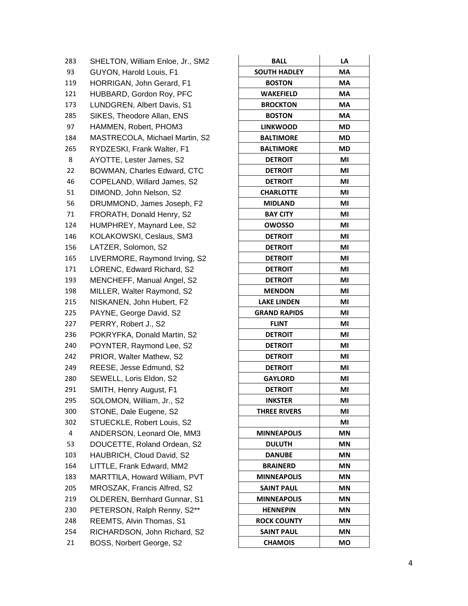| 283 | SHELTON, William Enloe, Jr., SM2 | <b>BALL</b>         | LA |
|-----|----------------------------------|---------------------|----|
| 93  | GUYON, Harold Louis, F1          | <b>SOUTH HADLEY</b> | MA |
| 119 | HORRIGAN, John Gerard, F1        | <b>BOSTON</b>       | MA |
| 121 | HUBBARD, Gordon Roy, PFC         | <b>WAKEFIELD</b>    | MA |
| 173 | LUNDGREN, Albert Davis, S1       | <b>BROCKTON</b>     | MA |
| 285 | SIKES, Theodore Allan, ENS       | <b>BOSTON</b>       | MA |
| 97  | HAMMEN, Robert, PHOM3            | <b>LINKWOOD</b>     | MD |
| 184 | MASTRECOLA, Michael Martin, S2   | <b>BALTIMORE</b>    | MD |
| 265 | RYDZESKI, Frank Walter, F1       | <b>BALTIMORE</b>    | MD |
| 8   | AYOTTE, Lester James, S2         | <b>DETROIT</b>      | ΜI |
| 22  | BOWMAN, Charles Edward, CTC      | <b>DETROIT</b>      | MI |
| 46  | COPELAND, Willard James, S2      | <b>DETROIT</b>      | ΜI |
| 51  | DIMOND, John Nelson, S2          | <b>CHARLOTTE</b>    | ΜI |
| 56  | DRUMMOND, James Joseph, F2       | <b>MIDLAND</b>      | ΜI |
| 71  | FRORATH, Donald Henry, S2        | <b>BAY CITY</b>     | ΜI |
| 124 | HUMPHREY, Maynard Lee, S2        | <b>OWOSSO</b>       | MI |
| 146 | KOLAKOWSKI, Ceslaus, SM3         | <b>DETROIT</b>      | ΜI |
| 156 | LATZER, Solomon, S2              | <b>DETROIT</b>      | ΜI |
| 165 | LIVERMORE, Raymond Irving, S2    | <b>DETROIT</b>      | MI |
| 171 | LORENC, Edward Richard, S2       | <b>DETROIT</b>      | MI |
| 193 | MENCHEFF, Manual Angel, S2       | <b>DETROIT</b>      | MI |
| 198 | MILLER, Walter Raymond, S2       | <b>MENDON</b>       | ΜI |
| 215 | NISKANEN, John Hubert, F2        | <b>LAKE LINDEN</b>  | ΜI |
| 225 | PAYNE, George David, S2          | <b>GRAND RAPIDS</b> | ΜI |
| 227 | PERRY, Robert J., S2             | <b>FLINT</b>        | ΜI |
| 236 | POKRYFKA, Donald Martin, S2      | <b>DETROIT</b>      | ΜI |
| 240 | POYNTER, Raymond Lee, S2         | <b>DETROIT</b>      | MI |
| 242 | PRIOR, Walter Mathew, S2         | <b>DETROIT</b>      | MI |
| 249 | REESE, Jesse Edmund, S2          | <b>DETROIT</b>      | ΜI |
| 280 | SEWELL, Loris Eldon, S2          | <b>GAYLORD</b>      | ΜI |
| 291 | SMITH, Henry August, F1          | <b>DETROIT</b>      | ΜI |
| 295 | SOLOMON, William, Jr., S2        | <b>INKSTER</b>      | MI |
| 300 | STONE, Dale Eugene, S2           | <b>THREE RIVERS</b> | MI |
| 302 | STUECKLE, Robert Louis, S2       |                     | MI |
| 4   | ANDERSON, Leonard Ole, MM3       | <b>MINNEAPOLIS</b>  | ΜN |
| 53  | DOUCETTE, Roland Ordean, S2      | <b>DULUTH</b>       | ΜN |
| 103 | HAUBRICH, Cloud David, S2        | <b>DANUBE</b>       | ΜN |
| 164 | LITTLE, Frank Edward, MM2        | <b>BRAINERD</b>     | ΜN |
| 183 | MARTTILA, Howard William, PVT    | <b>MINNEAPOLIS</b>  | MN |
| 205 | MROSZAK, Francis Alfred, S2      | <b>SAINT PAUL</b>   | ΜN |
| 219 | OLDEREN, Bernhard Gunnar, S1     | <b>MINNEAPOLIS</b>  | ΜN |
| 230 | PETERSON, Ralph Renny, S2**      | <b>HENNEPIN</b>     | MN |
| 248 | REEMTS, Alvin Thomas, S1         | <b>ROCK COUNTY</b>  | MN |
| 254 | RICHARDSON, John Richard, S2     | <b>SAINT PAUL</b>   | MN |
| 21  | BOSS, Norbert George, S2         | <b>CHAMOIS</b>      | МO |

| BALL                | LA |
|---------------------|----|
| <b>SOUTH HADLEY</b> | МA |
| <b>BOSTON</b>       | ΜA |
| WAKEFIELD           | ΜA |
| <b>BROCKTON</b>     | ΜA |
| <b>BOSTON</b>       | ΜA |
| <b>LINKWOOD</b>     | MD |
| <b>BALTIMORE</b>    | MD |
| <b>BALTIMORE</b>    | MD |
| <b>DETROIT</b>      | ΜI |
| <b>DETROIT</b>      | MI |
| <b>DETROIT</b>      | MI |
| CHARLOTTE           | ΜI |
| MIDLAND             | ΜI |
| <b>BAY CITY</b>     | MI |
| OWOSSO              | MI |
| <b>DETROIT</b>      | MI |
| <b>DETROIT</b>      | ΜI |
| <b>DETROIT</b>      | MI |
| <b>DETROIT</b>      | ΜI |
| <b>DETROIT</b>      | MI |
| <b>MENDON</b>       | ΜI |
| LAKE LINDEN         | MI |
| <b>GRAND RAPIDS</b> | ΜI |
| FLINT               | MI |
| <b>DETROIT</b>      | MI |
| <b>DETROIT</b>      | ΜI |
| <b>DETROIT</b>      | MI |
| <b>DETROIT</b>      | ΜI |
| <b>GAYLORD</b>      | MI |
| <b>DETROIT</b>      | MI |
| INKSTER             | MI |
| <b>THREE RIVERS</b> | MI |
|                     | ΜI |
| <b>MINNEAPOLIS</b>  | MΝ |
| <b>DULUTH</b>       | ΜN |
| <b>DANUBE</b>       | ΜN |
| <b>BRAINERD</b>     | ΜN |
| <b>MINNEAPOLIS</b>  | ΜN |
| <b>SAINT PAUL</b>   | ΜN |
| <b>MINNEAPOLIS</b>  | ΜN |
| <b>HENNEPIN</b>     | ΜN |
| <b>ROCK COUNTY</b>  | ΜN |
| SAINT PAUL          | ΜN |
| <b>CHAMOIS</b>      | мо |
|                     |    |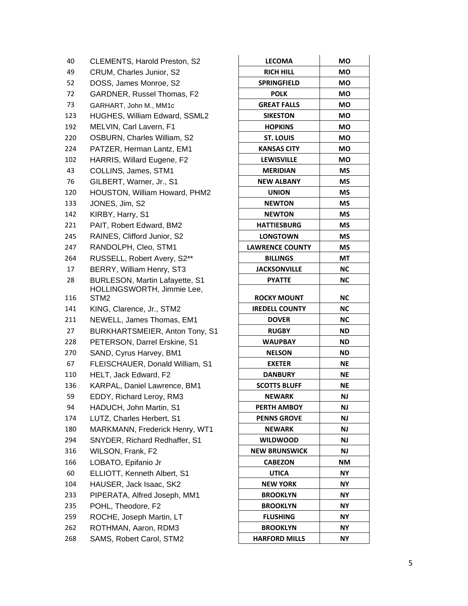| 40  | <b>CLEMENTS, Harold Preston, S2</b>            | <b>LECOMA</b>          | МO        |
|-----|------------------------------------------------|------------------------|-----------|
| 49  | CRUM, Charles Junior, S2                       | <b>RICH HILL</b>       | MO        |
| 52  | DOSS, James Monroe, S2                         | <b>SPRINGFIELD</b>     | МO        |
| 72  | GARDNER, Russel Thomas, F2                     | <b>POLK</b>            | МO        |
| 73  | GARHART, John M., MM1c                         | <b>GREAT FALLS</b>     | МO        |
| 123 | HUGHES, William Edward, SSML2                  | <b>SIKESTON</b>        | МO        |
| 192 | MELVIN, Carl Lavern, F1                        | <b>HOPKINS</b>         | МO        |
| 220 | OSBURN, Charles William, S2                    | <b>ST. LOUIS</b>       | МO        |
| 224 | PATZER, Herman Lantz, EM1                      | <b>KANSAS CITY</b>     | МO        |
| 102 | HARRIS, Willard Eugene, F2                     | <b>LEWISVILLE</b>      | <b>MO</b> |
| 43  | COLLINS, James, STM1                           | <b>MERIDIAN</b>        | MS.       |
| 76  | GILBERT, Warner, Jr., S1                       | <b>NEW ALBANY</b>      | ΜS        |
| 120 | HOUSTON, William Howard, PHM2                  | <b>UNION</b>           | ΜS        |
| 133 | JONES, Jim, S2                                 | <b>NEWTON</b>          | MS        |
| 142 | KIRBY, Harry, S1                               | <b>NEWTON</b>          | <b>MS</b> |
| 221 | PAIT, Robert Edward, BM2                       | <b>HATTIESBURG</b>     | MS.       |
| 245 | RAINES, Clifford Junior, S2                    | <b>LONGTOWN</b>        | MS        |
| 247 | RANDOLPH, Cleo, STM1                           | <b>LAWRENCE COUNTY</b> | ΜS        |
| 264 | RUSSELL, Robert Avery, S2**                    | <b>BILLINGS</b>        | MT.       |
| 17  | BERRY, William Henry, ST3                      | <b>JACKSONVILLE</b>    | NC.       |
| 28  | BURLESON, Martin Lafayette, S1                 | <b>PYATTE</b>          | <b>NC</b> |
| 116 | HOLLINGSWORTH, Jimmie Lee,<br>STM <sub>2</sub> | <b>ROCKY MOUNT</b>     | ΝC        |
| 141 | KING, Clarence, Jr., STM2                      | <b>IREDELL COUNTY</b>  | NC.       |
| 211 | NEWELL, James Thomas, EM1                      | <b>DOVER</b>           | NC        |
| 27  | BURKHARTSMEIER, Anton Tony, S1                 | <b>RUGBY</b>           | ND.       |
| 228 | PETERSON, Darrel Erskine, S1                   | <b>WAUPBAY</b>         | ND.       |
| 270 | SAND, Cyrus Harvey, BM1                        | <b>NELSON</b>          | ND.       |
| 67  | FLEISCHAUER, Donald William, S1                | <b>EXETER</b>          | NE.       |
| 110 | HELT, Jack Edward, F2                          | <b>DANBURY</b>         | NE        |
| 136 | KARPAL, Daniel Lawrence, BM1                   | <b>SCOTTS BLUFF</b>    | NE        |
| 59  | EDDY, Richard Leroy, RM3                       | <b>NEWARK</b>          | NJ        |
| 94  | HADUCH, John Martin, S1                        | PERTH AMBOY            | ΝJ        |
| 174 | LUTZ, Charles Herbert, S1                      | <b>PENNS GROVE</b>     | NJ.       |
| 180 | MARKMANN, Frederick Henry, WT1                 | <b>NEWARK</b>          | NJ        |
| 294 | SNYDER, Richard Redhaffer, S1                  | <b>WILDWOOD</b>        | ΝJ        |
| 316 | WILSON, Frank, F2                              | <b>NEW BRUNSWICK</b>   | NJ.       |
| 166 | LOBATO, Epifanio Jr                            | <b>CABEZON</b>         | ΝM        |
| 60  | ELLIOTT, Kenneth Albert, S1                    | <b>UTICA</b>           | ΝY        |
| 104 | HAUSER, Jack Isaac, SK2                        | <b>NEW YORK</b>        | NΥ        |
| 233 | PIPERATA, Alfred Joseph, MM1                   | <b>BROOKLYN</b>        | NΥ        |
| 235 | POHL, Theodore, F2                             | <b>BROOKLYN</b>        | NΥ        |
| 259 | ROCHE, Joseph Martin, LT                       | <b>FLUSHING</b>        | NΥ        |
| 262 | ROTHMAN, Aaron, RDM3                           | <b>BROOKLYN</b>        | NΥ        |
| 268 | SAMS, Robert Carol, STM2                       | <b>HARFORD MILLS</b>   | ΝY        |
|     |                                                |                        |           |

| <b>LECOMA</b>          | мо |
|------------------------|----|
| RICH HILL              | мо |
| <b>SPRINGFIELD</b>     | МО |
| POLK                   | МО |
| <b>GREAT FALLS</b>     | МО |
| <b>SIKESTON</b>        | МО |
| <b>HOPKINS</b>         | МО |
| ST. LOUIS              | мо |
| KANSAS CITY            | мо |
| <b>LEWISVILLE</b>      | МО |
| <b>MERIDIAN</b>        | ΜS |
| NEW ALBANY             | ΜS |
| <b>UNION</b>           | ΜS |
| <b>NEWTON</b>          | ΜS |
| <b>NEWTON</b>          | ΜS |
| <b>HATTIESBURG</b>     | ΜS |
| LONGTOWN               | ΜS |
| <b>LAWRENCE COUNTY</b> | ΜS |
| <b>BILLINGS</b>        | ΜТ |
| <b>JACKSONVILLE</b>    | NC |
| <b>PYATTE</b>          | NC |
| <b>ROCKY MOUNT</b>     | NC |
| <b>IREDELL COUNTY</b>  | NC |
| <b>DOVER</b>           | NС |
| <b>RUGBY</b>           | ΝD |
| WAUPBAY                | ΝD |
| <b>NELSON</b>          | ND |
| <b>EXETER</b>          | ΝE |
| <b>DANBURY</b>         | ΝE |
| <b>SCOTTS BLUFF</b>    | ΝE |
| NEWARK                 | NJ |
| <b>PERTH AMBOY</b>     | ΝJ |
| <b>PENNS GROVE</b>     | ΝJ |
| <b>NEWARK</b>          | ΝJ |
| WILDWOOD               | ΝJ |
| <b>NEW BRUNSWICK</b>   | ΝJ |
| <b>CABEZON</b>         | ΝM |
| UTICA                  | NΥ |
| NEW YORK               | NΥ |
| <b>BROOKLYN</b>        | NΥ |
| <b>BROOKLYN</b>        | NΥ |
| <b>FLUSHING</b>        | NΥ |
| <b>BROOKLYN</b>        | NΥ |
| <b>HARFORD MILLS</b>   | NΥ |
|                        |    |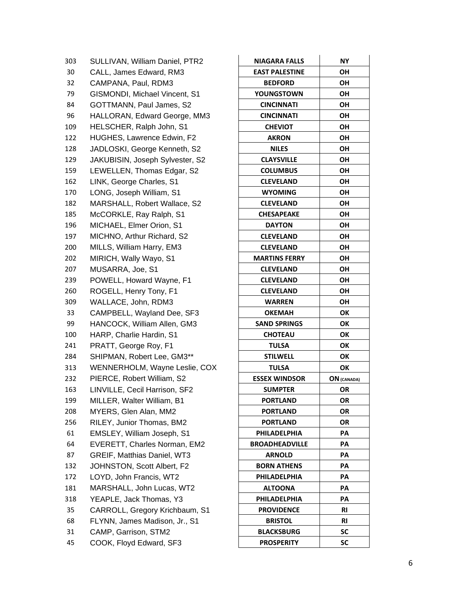| 303 | SULLIVAN, William Daniel, PTR2  | <b>NIAGARA FALLS</b>  | NΥ          |
|-----|---------------------------------|-----------------------|-------------|
| 30  | CALL, James Edward, RM3         | <b>EAST PALESTINE</b> | ΟH          |
| 32  | CAMPANA, Paul, RDM3             | <b>BEDFORD</b>        | ΟH          |
| 79  | GISMONDI, Michael Vincent, S1   | YOUNGSTOWN            | ΟH          |
| 84  | GOTTMANN, Paul James, S2        | <b>CINCINNATI</b>     | ΟH          |
| 96  | HALLORAN, Edward George, MM3    | <b>CINCINNATI</b>     | ΟH          |
| 109 | HELSCHER, Ralph John, S1        | <b>CHEVIOT</b>        | ΟH          |
| 122 | HUGHES, Lawrence Edwin, F2      | <b>AKRON</b>          | OH          |
| 128 | JADLOSKI, George Kenneth, S2    | <b>NILES</b>          | ΟH          |
| 129 | JAKUBISIN, Joseph Sylvester, S2 | <b>CLAYSVILLE</b>     | ΟH          |
| 159 | LEWELLEN, Thomas Edgar, S2      | <b>COLUMBUS</b>       | ΟH          |
| 162 | LINK, George Charles, S1        | <b>CLEVELAND</b>      | OН          |
| 170 | LONG, Joseph William, S1        | <b>WYOMING</b>        | ΟH          |
| 182 | MARSHALL, Robert Wallace, S2    | <b>CLEVELAND</b>      | ΟH          |
| 185 | McCORKLE, Ray Ralph, S1         | <b>CHESAPEAKE</b>     | ΟH          |
| 196 | MICHAEL, Elmer Orion, S1        | <b>DAYTON</b>         | ΟH          |
| 197 | MICHNO, Arthur Richard, S2      | <b>CLEVELAND</b>      | ΟH          |
| 200 | MILLS, William Harry, EM3       | <b>CLEVELAND</b>      | ΟH          |
| 202 | MIRICH, Wally Wayo, S1          | <b>MARTINS FERRY</b>  | ΟH          |
| 207 | MUSARRA, Joe, S1                | <b>CLEVELAND</b>      | ΟH          |
| 239 | POWELL, Howard Wayne, F1        | <b>CLEVELAND</b>      | OH          |
| 260 | ROGELL, Henry Tony, F1          | <b>CLEVELAND</b>      | OH          |
| 309 | WALLACE, John, RDM3             | <b>WARREN</b>         | ΟH          |
| 33  | CAMPBELL, Wayland Dee, SF3      | <b>OKEMAH</b>         | ΟK          |
| 99  | HANCOCK, William Allen, GM3     | <b>SAND SPRINGS</b>   | OΚ          |
| 100 | HARP, Charlie Hardin, S1        | <b>CHOTEAU</b>        | OK          |
| 241 | PRATT, George Roy, F1           | <b>TULSA</b>          | ΟK          |
| 284 | SHIPMAN, Robert Lee, GM3**      | <b>STILWELL</b>       | ΟK          |
| 313 | WENNERHOLM, Wayne Leslie, COX   | <b>TULSA</b>          | ΟK          |
| 232 | PIERCE, Robert William, S2      | <b>ESSEX WINDSOR</b>  | ON (CANADA) |
| 163 | LINVILLE, Cecil Harrison, SF2   | <b>SUMPTER</b>        | OR          |
| 199 | MILLER, Walter William, B1      | <b>PORTLAND</b>       | OR          |
| 208 | MYERS, Glen Alan, MM2           | <b>PORTLAND</b>       | OR          |
| 256 | RILEY, Junior Thomas, BM2       | <b>PORTLAND</b>       | <b>OR</b>   |
| 61  | EMSLEY, William Joseph, S1      | PHILADELPHIA          | PA          |
| 64  | EVERETT, Charles Norman, EM2    | <b>BROADHEADVILLE</b> | PA          |
| 87  | GREIF, Matthias Daniel, WT3     | <b>ARNOLD</b>         | PA          |
| 132 | JOHNSTON, Scott Albert, F2      | <b>BORN ATHENS</b>    | PА          |
| 172 | LOYD, John Francis, WT2         | PHILADELPHIA          | PA          |
| 181 | MARSHALL, John Lucas, WT2       | <b>ALTOONA</b>        | PA          |
| 318 | YEAPLE, Jack Thomas, Y3         | PHILADELPHIA          | PA          |
| 35  | CARROLL, Gregory Krichbaum, S1  | <b>PROVIDENCE</b>     | <b>RI</b>   |
| 68  | FLYNN, James Madison, Jr., S1   | <b>BRISTOL</b>        | <b>RI</b>   |
| 31  | CAMP, Garrison, STM2            | <b>BLACKSBURG</b>     | <b>SC</b>   |
| 45  | COOK, Floyd Edward, SF3         | <b>PROSPERITY</b>     | SC          |

| <b>NIAGARA FALLS</b>  | NΥ          |
|-----------------------|-------------|
| <b>EAST PALESTINE</b> | ОН          |
| <b>BEDFORD</b>        | ΟН          |
| YOUNGSTOWN            | OН          |
| <b>CINCINNATI</b>     | ОН          |
| <b>CINCINNATI</b>     | ОН          |
| <b>CHEVIOT</b>        | ΟН          |
| AKRON                 | ΟН          |
| NILES                 | OН          |
| <b>CLAYSVILLE</b>     | ΟН          |
| <b>COLUMBUS</b>       | OН          |
| <b>CLEVELAND</b>      | ΟН          |
| WYOMING               | OН          |
| <b>CLEVELAND</b>      | OН          |
| <b>CHESAPEAKE</b>     | OΗ          |
| <b>DAYTON</b>         | ОН          |
| <b>CLEVELAND</b>      | ΟН          |
| <b>CLEVELAND</b>      | ΟН          |
| <b>MARTINS FERRY</b>  | OН          |
| <b>CLEVELAND</b>      | ΟН          |
| <b>CLEVELAND</b>      | OН          |
| <b>CLEVELAND</b>      | ΟН          |
| <b>WARREN</b>         | OН          |
| ОКЕМАН                | ОΚ          |
| <b>SAND SPRINGS</b>   | ОΚ          |
| <b>CHOTEAU</b>        | ОΚ          |
| TULSA                 | ОΚ          |
| STILWELL              | ОΚ          |
| <b>TULSA</b>          | ОΚ          |
| <b>ESSEX WINDSOR</b>  | ON (CANADA) |
| <b>SUMPTER</b>        | OR          |
| PORTLAND              | ΟR          |
| <b>PORTLAND</b>       | OR          |
| <b>PORTLAND</b>       | ΟR          |
| PHILADELPHIA          | PА          |
| <b>BROADHEADVILLE</b> | PА          |
| <b>ARNOLD</b>         | ΡА          |
| <b>BORN ATHENS</b>    | ΡА          |
| PHILADELPHIA          | PА          |
| <b>ALTOONA</b>        | PА          |
| PHILADELPHIA          | PA          |
| <b>PROVIDENCE</b>     | RI          |
| <b>BRISTOL</b>        | RI          |
| BLACKSBURG            | SC          |
| <b>PROSPERITY</b>     | SC          |
|                       |             |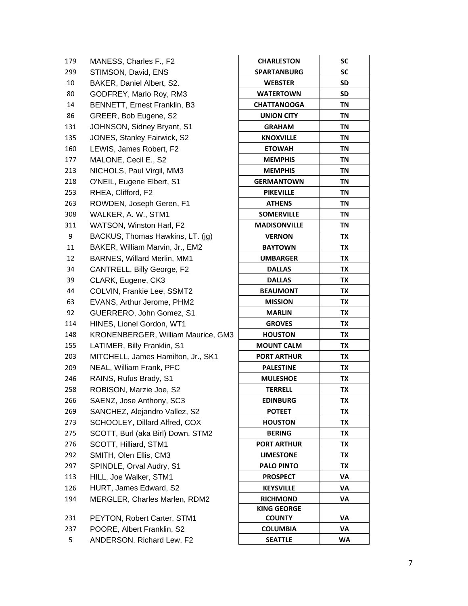| 179 | MANESS, Charles F., F2             | <b>CHARLESTON</b>   | SC        |
|-----|------------------------------------|---------------------|-----------|
| 299 | STIMSON, David, ENS                | <b>SPARTANBURG</b>  | <b>SC</b> |
| 10  | BAKER, Daniel Albert, S2.          | <b>WEBSTER</b>      | <b>SD</b> |
| 80  | GODFREY, Marlo Roy, RM3            | <b>WATERTOWN</b>    | SD        |
| 14  | BENNETT, Ernest Franklin, B3       | <b>CHATTANOOGA</b>  | TN        |
| 86  | GREER, Bob Eugene, S2              | <b>UNION CITY</b>   | ΤN        |
| 131 | JOHNSON, Sidney Bryant, S1         | <b>GRAHAM</b>       | ΤN        |
| 135 | JONES, Stanley Fairwick, S2        | <b>KNOXVILLE</b>    | ΤN        |
| 160 | LEWIS, James Robert, F2            | <b>ETOWAH</b>       | ΤN        |
| 177 | MALONE, Cecil E., S2               | <b>MEMPHIS</b>      | TN        |
| 213 | NICHOLS, Paul Virgil, MM3          | <b>MEMPHIS</b>      | ΤN        |
| 218 | O'NEIL, Eugene Elbert, S1          | <b>GERMANTOWN</b>   | ΤN        |
| 253 | RHEA, Clifford, F2                 | <b>PIKEVILLE</b>    | <b>TN</b> |
| 263 | ROWDEN, Joseph Geren, F1           | <b>ATHENS</b>       | <b>TN</b> |
| 308 | WALKER, A. W., STM1                | <b>SOMERVILLE</b>   | ΤN        |
| 311 | WATSON, Winston Harl, F2           | <b>MADISONVILLE</b> | ΤN        |
| 9   | BACKUS, Thomas Hawkins, LT. (jg)   | <b>VERNON</b>       | TX        |
| 11  | BAKER, William Marvin, Jr., EM2    | <b>BAYTOWN</b>      | TX        |
| 12  | <b>BARNES, Willard Merlin, MM1</b> | <b>UMBARGER</b>     | TX        |
| 34  | CANTRELL, Billy George, F2         | <b>DALLAS</b>       | TX        |
| 39  | CLARK, Eugene, CK3                 | <b>DALLAS</b>       | TX        |
| 44  | COLVIN, Frankie Lee, SSMT2         | <b>BEAUMONT</b>     | TX        |
| 63  | EVANS, Arthur Jerome, PHM2         | <b>MISSION</b>      | TX        |
| 92  | GUERRERO, John Gomez, S1           | <b>MARLIN</b>       | TX        |
| 114 | HINES, Lionel Gordon, WT1          | <b>GROVES</b>       | TX        |
| 148 | KRONENBERGER, William Maurice, GM3 | <b>HOUSTON</b>      | TX        |
| 155 | LATIMER, Billy Franklin, S1        | <b>MOUNT CALM</b>   | TX        |
| 203 | MITCHELL, James Hamilton, Jr., SK1 | <b>PORT ARTHUR</b>  | TX        |
| 209 | NEAL, William Frank, PFC           | <b>PALESTINE</b>    | TX        |
| 246 | RAINS, Rufus Brady, S1             | <b>MULESHOE</b>     | TX        |
| 258 | ROBISON, Marzie Joe, S2            | <b>TERRELL</b>      | TX        |
| 266 | SAENZ, Jose Anthony, SC3           | <b>EDINBURG</b>     | TX        |
| 269 | SANCHEZ, Alejandro Vallez, S2      | <b>POTEET</b>       | TX        |
| 273 | SCHOOLEY, Dillard Alfred, COX      | <b>HOUSTON</b>      | TX        |
| 275 | SCOTT, Burl (aka Birl) Down, STM2  | <b>BERING</b>       | TX        |
| 276 | SCOTT, Hilliard, STM1              | <b>PORT ARTHUR</b>  | TX        |
| 292 | SMITH, Olen Ellis, CM3             | <b>LIMESTONE</b>    | TX        |
| 297 | SPINDLE, Orval Audry, S1           | <b>PALO PINTO</b>   | TX        |
| 113 | HILL, Joe Walker, STM1             | <b>PROSPECT</b>     | VA        |
| 126 | HURT, James Edward, S2             | <b>KEYSVILLE</b>    | VA        |
| 194 | MERGLER, Charles Marlen, RDM2      | <b>RICHMOND</b>     | VA        |
|     |                                    | <b>KING GEORGE</b>  |           |
| 231 | PEYTON, Robert Carter, STM1        | <b>COUNTY</b>       | VA        |
| 237 | POORE, Albert Franklin, S2         | <b>COLUMBIA</b>     | VA        |
| 5   | ANDERSON. Richard Lew, F2          | <b>SEATTLE</b>      | <b>WA</b> |